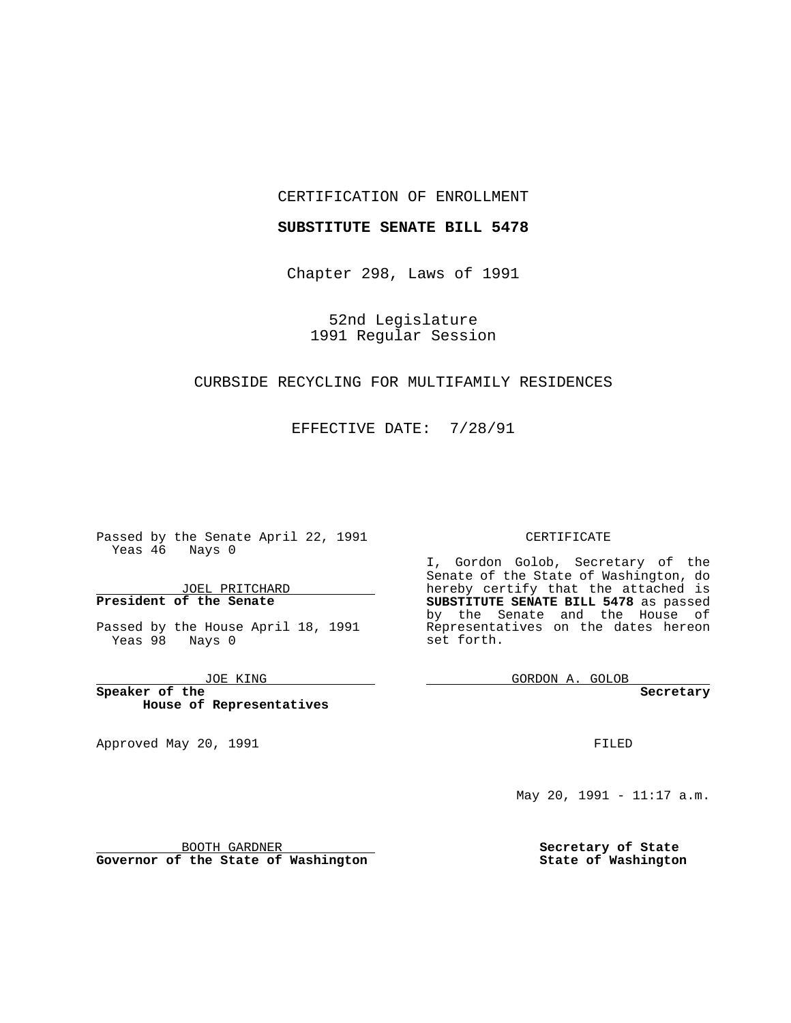#### CERTIFICATION OF ENROLLMENT

#### **SUBSTITUTE SENATE BILL 5478**

Chapter 298, Laws of 1991

52nd Legislature 1991 Regular Session

## CURBSIDE RECYCLING FOR MULTIFAMILY RESIDENCES

## EFFECTIVE DATE: 7/28/91

 $\overline{\phantom{a}}$ 

Passed by the Senate April 22, 1991 Yeas 46 Nays 0

JOEL PRITCHARD **President of the Senate**

Passed by the House April 18, 1991 Yeas 98 Nays 0

JOE KING

**Speaker of the House of Representatives**

BOOTH GARDNER **Governor of the State of Washington**

Approved May 20, 1991

#### CERTIFICATE

I, Gordon Golob, Secretary of the Senate of the State of Washington, do hereby certify that the attached is **SUBSTITUTE SENATE BILL 5478** as passed by the Senate and the House of Representatives on the dates hereon set forth.

GORDON A. GOLOB

**Secretary**

FILED

May 20, 1991 - 11:17 a.m.

**Secretary of State State of Washington**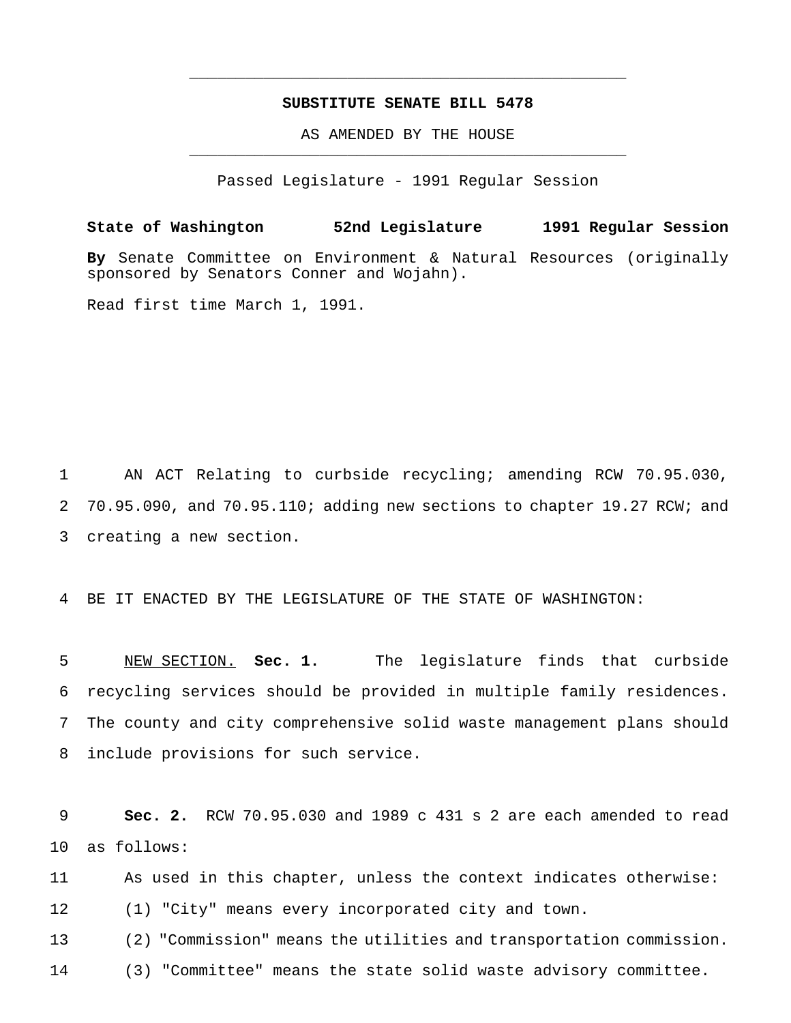## **SUBSTITUTE SENATE BILL 5478**

\_\_\_\_\_\_\_\_\_\_\_\_\_\_\_\_\_\_\_\_\_\_\_\_\_\_\_\_\_\_\_\_\_\_\_\_\_\_\_\_\_\_\_\_\_\_\_

AS AMENDED BY THE HOUSE \_\_\_\_\_\_\_\_\_\_\_\_\_\_\_\_\_\_\_\_\_\_\_\_\_\_\_\_\_\_\_\_\_\_\_\_\_\_\_\_\_\_\_\_\_\_\_

Passed Legislature - 1991 Regular Session

**State of Washington 52nd Legislature 1991 Regular Session By** Senate Committee on Environment & Natural Resources (originally sponsored by Senators Conner and Wojahn).

Read first time March 1, 1991.

 AN ACT Relating to curbside recycling; amending RCW 70.95.030, 70.95.090, and 70.95.110; adding new sections to chapter 19.27 RCW; and creating a new section.

BE IT ENACTED BY THE LEGISLATURE OF THE STATE OF WASHINGTON:

 NEW SECTION. **Sec. 1.** The legislature finds that curbside recycling services should be provided in multiple family residences. The county and city comprehensive solid waste management plans should include provisions for such service.

 **Sec. 2.** RCW 70.95.030 and 1989 c 431 s 2 are each amended to read as follows:

 As used in this chapter, unless the context indicates otherwise: (1) "City" means every incorporated city and town.

 (2) "Commission" means the utilities and transportation commission. (3) "Committee" means the state solid waste advisory committee.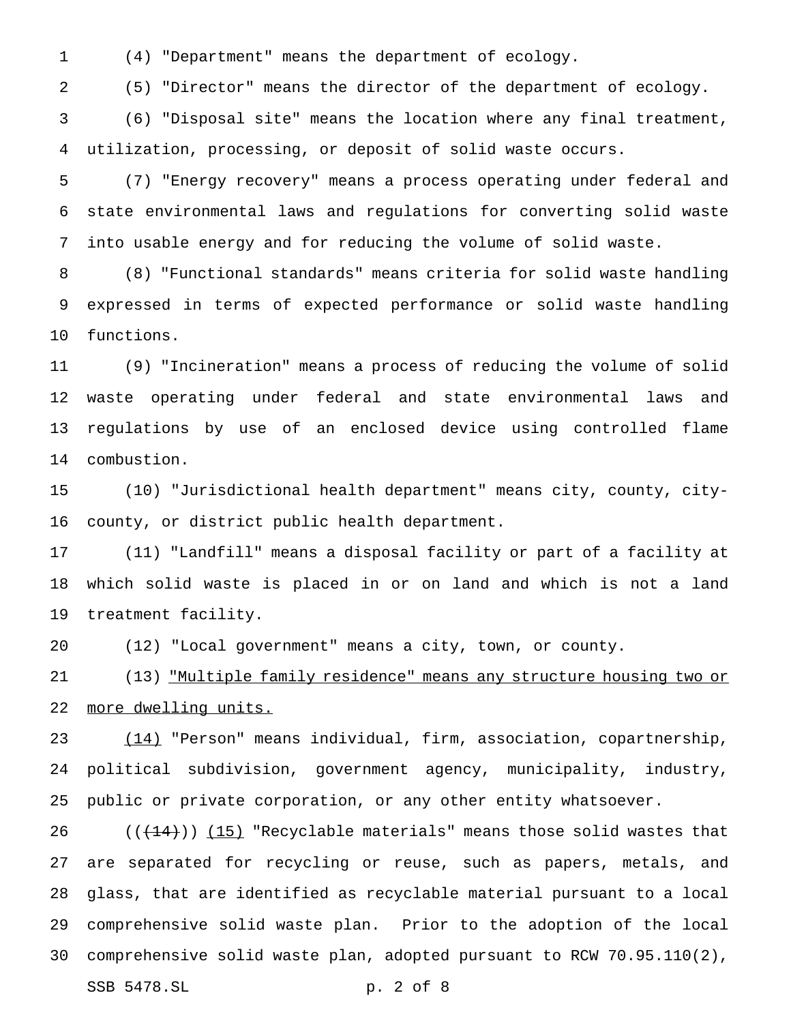(4) "Department" means the department of ecology.

(5) "Director" means the director of the department of ecology.

 (6) "Disposal site" means the location where any final treatment, utilization, processing, or deposit of solid waste occurs.

 (7) "Energy recovery" means a process operating under federal and state environmental laws and regulations for converting solid waste into usable energy and for reducing the volume of solid waste.

 (8) "Functional standards" means criteria for solid waste handling expressed in terms of expected performance or solid waste handling functions.

 (9) "Incineration" means a process of reducing the volume of solid waste operating under federal and state environmental laws and regulations by use of an enclosed device using controlled flame combustion.

 (10) "Jurisdictional health department" means city, county, city-county, or district public health department.

 (11) "Landfill" means a disposal facility or part of a facility at which solid waste is placed in or on land and which is not a land treatment facility.

(12) "Local government" means a city, town, or county.

 (13) "Multiple family residence" means any structure housing two or more dwelling units.

23 (14) "Person" means individual, firm, association, copartnership, political subdivision, government agency, municipality, industry, public or private corporation, or any other entity whatsoever.

 $((+14))$  (15) "Recyclable materials" means those solid wastes that are separated for recycling or reuse, such as papers, metals, and glass, that are identified as recyclable material pursuant to a local comprehensive solid waste plan. Prior to the adoption of the local comprehensive solid waste plan, adopted pursuant to RCW 70.95.110(2),

SSB 5478.SL p. 2 of 8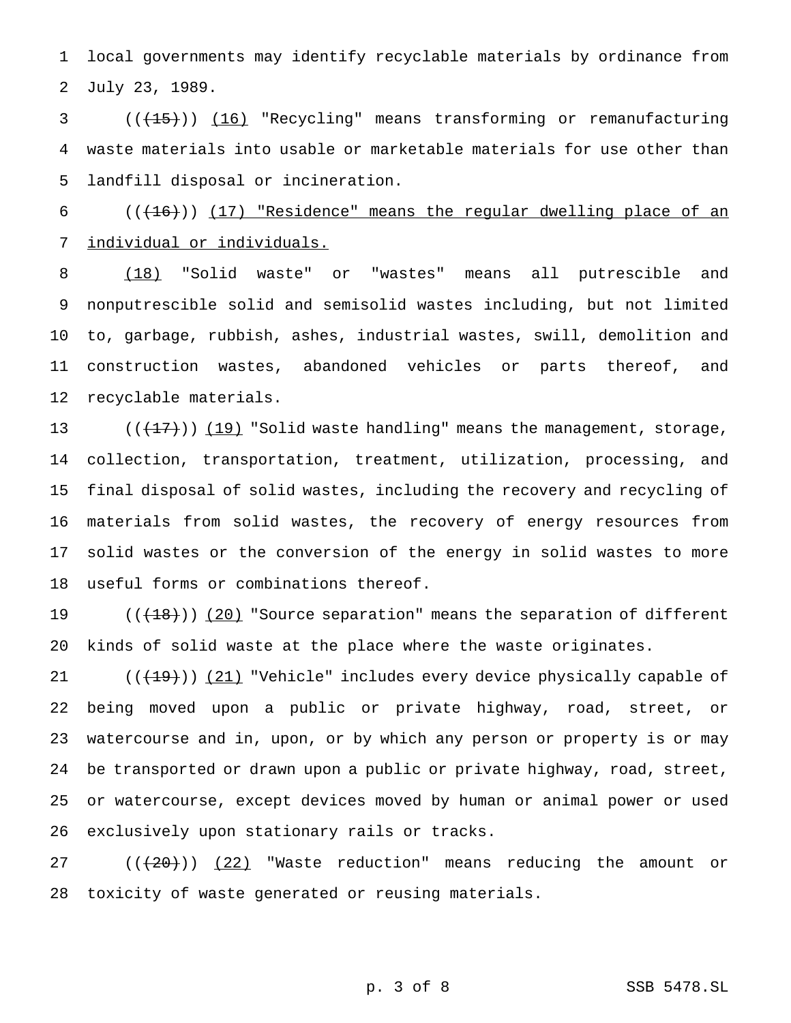local governments may identify recyclable materials by ordinance from July 23, 1989.

3 (( $(15)$ )) (16) "Recycling" means transforming or remanufacturing waste materials into usable or marketable materials for use other than landfill disposal or incineration.

 (( $(16)$ )) (17) "Residence" means the regular dwelling place of an individual or individuals.

 (18) "Solid waste" or "wastes" means all putrescible and nonputrescible solid and semisolid wastes including, but not limited to, garbage, rubbish, ashes, industrial wastes, swill, demolition and construction wastes, abandoned vehicles or parts thereof, and recyclable materials.

 $((+17))$   $(19)$  "Solid waste handling" means the management, storage, collection, transportation, treatment, utilization, processing, and final disposal of solid wastes, including the recovery and recycling of materials from solid wastes, the recovery of energy resources from solid wastes or the conversion of the energy in solid wastes to more useful forms or combinations thereof.

19 ((<del>(18)</del>)) <u>(20)</u> "Source separation" means the separation of different kinds of solid waste at the place where the waste originates.

21 (( $(19)$ )) (21) "Vehicle" includes every device physically capable of being moved upon a public or private highway, road, street, or watercourse and in, upon, or by which any person or property is or may be transported or drawn upon a public or private highway, road, street, or watercourse, except devices moved by human or animal power or used exclusively upon stationary rails or tracks.

27 ((<del>(20)</del>)) (22) "Waste reduction" means reducing the amount or toxicity of waste generated or reusing materials.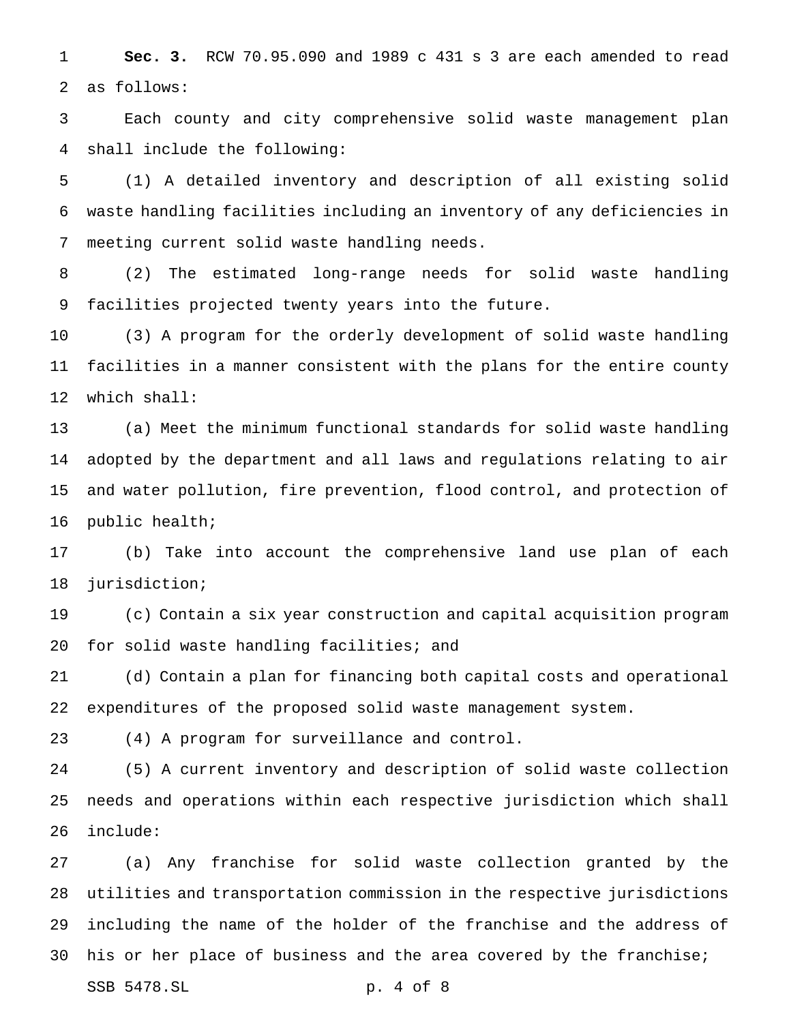**Sec. 3.** RCW 70.95.090 and 1989 c 431 s 3 are each amended to read as follows:

 Each county and city comprehensive solid waste management plan shall include the following:

 (1) A detailed inventory and description of all existing solid waste handling facilities including an inventory of any deficiencies in meeting current solid waste handling needs.

 (2) The estimated long-range needs for solid waste handling facilities projected twenty years into the future.

 (3) A program for the orderly development of solid waste handling facilities in a manner consistent with the plans for the entire county which shall:

 (a) Meet the minimum functional standards for solid waste handling adopted by the department and all laws and regulations relating to air and water pollution, fire prevention, flood control, and protection of public health;

 (b) Take into account the comprehensive land use plan of each jurisdiction;

 (c) Contain a six year construction and capital acquisition program for solid waste handling facilities; and

 (d) Contain a plan for financing both capital costs and operational expenditures of the proposed solid waste management system.

(4) A program for surveillance and control.

 (5) A current inventory and description of solid waste collection needs and operations within each respective jurisdiction which shall include:

 (a) Any franchise for solid waste collection granted by the utilities and transportation commission in the respective jurisdictions including the name of the holder of the franchise and the address of his or her place of business and the area covered by the franchise; SSB 5478.SL p. 4 of 8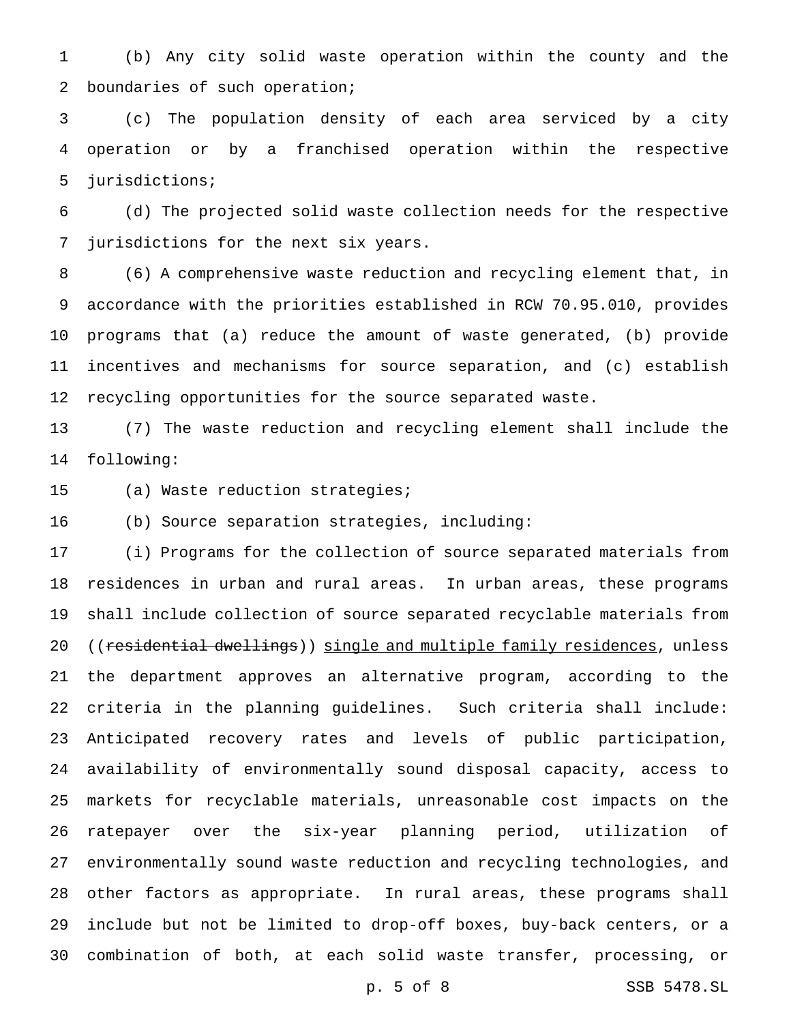(b) Any city solid waste operation within the county and the boundaries of such operation;

 (c) The population density of each area serviced by a city operation or by a franchised operation within the respective jurisdictions;

 (d) The projected solid waste collection needs for the respective jurisdictions for the next six years.

 (6) A comprehensive waste reduction and recycling element that, in accordance with the priorities established in RCW 70.95.010, provides programs that (a) reduce the amount of waste generated, (b) provide incentives and mechanisms for source separation, and (c) establish recycling opportunities for the source separated waste.

 (7) The waste reduction and recycling element shall include the following:

(a) Waste reduction strategies;

(b) Source separation strategies, including:

 (i) Programs for the collection of source separated materials from residences in urban and rural areas. In urban areas, these programs shall include collection of source separated recyclable materials from 20 ((residential dwellings)) single and multiple family residences, unless the department approves an alternative program, according to the criteria in the planning guidelines. Such criteria shall include: Anticipated recovery rates and levels of public participation, availability of environmentally sound disposal capacity, access to markets for recyclable materials, unreasonable cost impacts on the ratepayer over the six-year planning period, utilization of environmentally sound waste reduction and recycling technologies, and other factors as appropriate. In rural areas, these programs shall include but not be limited to drop-off boxes, buy-back centers, or a combination of both, at each solid waste transfer, processing, or

p. 5 of 8 SSB 5478.SL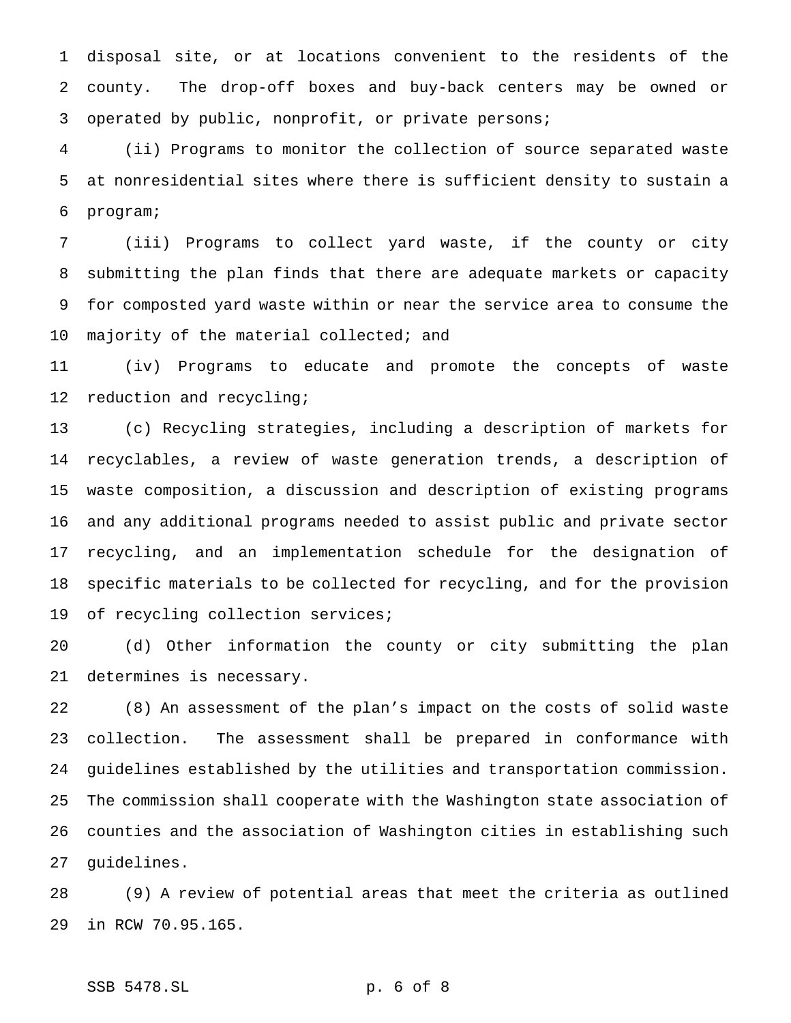disposal site, or at locations convenient to the residents of the county. The drop-off boxes and buy-back centers may be owned or operated by public, nonprofit, or private persons;

 (ii) Programs to monitor the collection of source separated waste at nonresidential sites where there is sufficient density to sustain a program;

 (iii) Programs to collect yard waste, if the county or city submitting the plan finds that there are adequate markets or capacity for composted yard waste within or near the service area to consume the 10 majority of the material collected; and

 (iv) Programs to educate and promote the concepts of waste reduction and recycling;

 (c) Recycling strategies, including a description of markets for recyclables, a review of waste generation trends, a description of waste composition, a discussion and description of existing programs and any additional programs needed to assist public and private sector recycling, and an implementation schedule for the designation of specific materials to be collected for recycling, and for the provision of recycling collection services;

 (d) Other information the county or city submitting the plan determines is necessary.

 (8) An assessment of the plan's impact on the costs of solid waste collection. The assessment shall be prepared in conformance with guidelines established by the utilities and transportation commission. The commission shall cooperate with the Washington state association of counties and the association of Washington cities in establishing such guidelines.

 (9) A review of potential areas that meet the criteria as outlined in RCW 70.95.165.

# SSB 5478.SL p. 6 of 8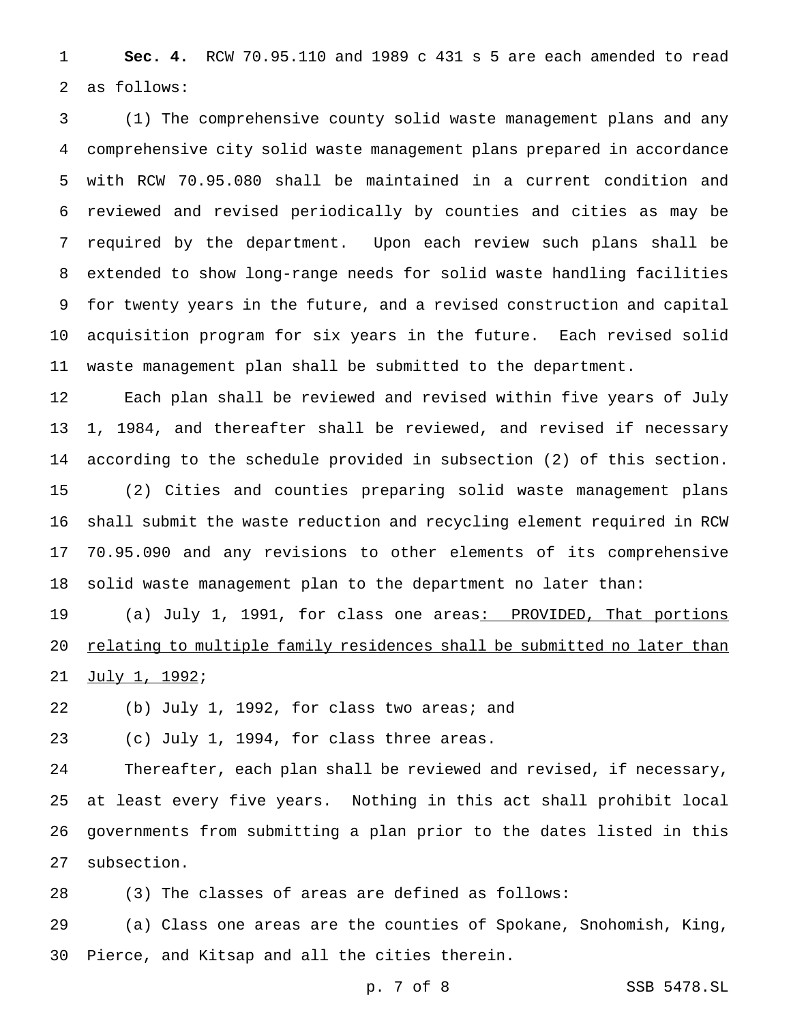**Sec. 4.** RCW 70.95.110 and 1989 c 431 s 5 are each amended to read as follows:

 (1) The comprehensive county solid waste management plans and any comprehensive city solid waste management plans prepared in accordance with RCW 70.95.080 shall be maintained in a current condition and reviewed and revised periodically by counties and cities as may be required by the department. Upon each review such plans shall be extended to show long-range needs for solid waste handling facilities for twenty years in the future, and a revised construction and capital acquisition program for six years in the future. Each revised solid waste management plan shall be submitted to the department.

 Each plan shall be reviewed and revised within five years of July 1, 1984, and thereafter shall be reviewed, and revised if necessary according to the schedule provided in subsection (2) of this section. (2) Cities and counties preparing solid waste management plans shall submit the waste reduction and recycling element required in RCW 70.95.090 and any revisions to other elements of its comprehensive

solid waste management plan to the department no later than:

19 (a) July 1, 1991, for class one areas<u>: PROVIDED, That portions</u> 20 relating to multiple family residences shall be submitted no later than July 1, 1992;

(b) July 1, 1992, for class two areas; and

(c) July 1, 1994, for class three areas.

 Thereafter, each plan shall be reviewed and revised, if necessary, at least every five years. Nothing in this act shall prohibit local governments from submitting a plan prior to the dates listed in this subsection.

(3) The classes of areas are defined as follows:

 (a) Class one areas are the counties of Spokane, Snohomish, King, Pierce, and Kitsap and all the cities therein.

p. 7 of 8 SSB 5478.SL